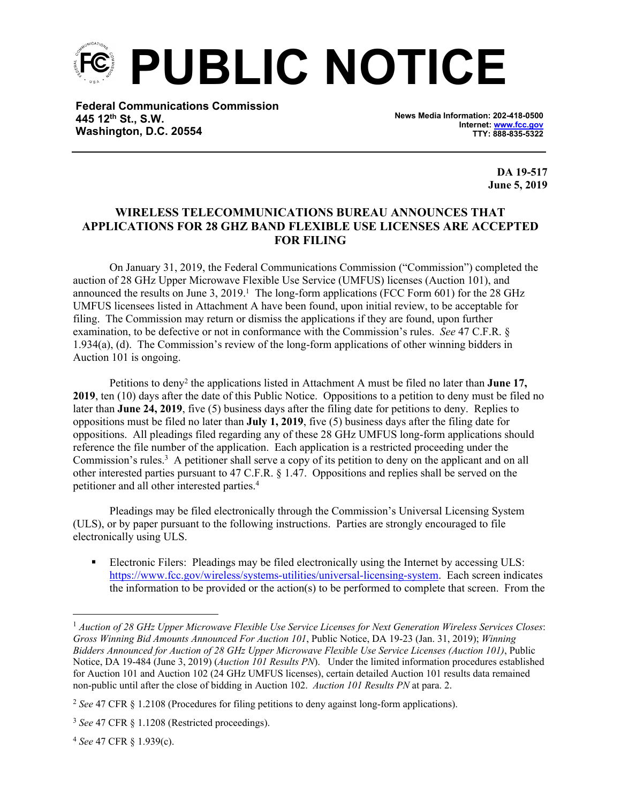**PUBLIC NOTICE**

**Federal Communications Commission 445 12th St., S.W. Washington, D.C. 20554**

**News Media Information: 202-418-0500 Internet: [www.fcc.gov](file:///C:/Users/craig.bomberger/AppData/Local/Microsoft/Windows/Temporary%20Internet%20Files/Content.Outlook/BCL5QM18/www.fcc.gov) TTY: 888-835-5322**

> **DA 19-517 June 5, 2019**

## **WIRELESS TELECOMMUNICATIONS BUREAU ANNOUNCES THAT APPLICATIONS FOR 28 GHZ BAND FLEXIBLE USE LICENSES ARE ACCEPTED FOR FILING**

On January 31, 2019, the Federal Communications Commission ("Commission") completed the auction of 28 GHz Upper Microwave Flexible Use Service (UMFUS) licenses (Auction 101), and announced the results on June 3,  $2019<sup>1</sup>$ . The long-form applications (FCC Form 601) for the 28 GHz UMFUS licensees listed in Attachment A have been found, upon initial review, to be acceptable for filing. The Commission may return or dismiss the applications if they are found, upon further examination, to be defective or not in conformance with the Commission's rules. *See* 47 C.F.R. § 1.934(a), (d). The Commission's review of the long-form applications of other winning bidders in Auction 101 is ongoing.

Petitions to deny<sup>2</sup> the applications listed in Attachment A must be filed no later than **June 17, 2019**, ten (10) days after the date of this Public Notice. Oppositions to a petition to deny must be filed no later than **June 24, 2019**, five (5) business days after the filing date for petitions to deny. Replies to oppositions must be filed no later than **July 1, 2019**, five (5) business days after the filing date for oppositions. All pleadings filed regarding any of these 28 GHz UMFUS long-form applications should reference the file number of the application. Each application is a restricted proceeding under the Commission's rules.<sup>3</sup> A petitioner shall serve a copy of its petition to deny on the applicant and on all other interested parties pursuant to 47 C.F.R. § 1.47. Oppositions and replies shall be served on the petitioner and all other interested parties.<sup>4</sup>

Pleadings may be filed electronically through the Commission's Universal Licensing System (ULS), or by paper pursuant to the following instructions. Parties are strongly encouraged to file electronically using ULS.

**Electronic Filers: Pleadings may be filed electronically using the Internet by accessing ULS:** <https://www.fcc.gov/wireless/systems-utilities/universal-licensing-system>. Each screen indicates the information to be provided or the action(s) to be performed to complete that screen. From the

<sup>1</sup> *Auction of 28 GHz Upper Microwave Flexible Use Service Licenses for Next Generation Wireless Services Closes*: *Gross Winning Bid Amounts Announced For Auction 101*, Public Notice, DA 19-23 (Jan. 31, 2019); *Winning Bidders Announced for Auction of 28 GHz Upper Microwave Flexible Use Service Licenses (Auction 101)*, Public Notice, DA 19-484 (June 3, 2019) (*Auction 101 Results PN*). Under the limited information procedures established for Auction 101 and Auction 102 (24 GHz UMFUS licenses), certain detailed Auction 101 results data remained non-public until after the close of bidding in Auction 102. *Auction 101 Results PN* at para. 2.

<sup>2</sup> *See* 47 CFR § 1.2108 (Procedures for filing petitions to deny against long-form applications).

<sup>3</sup> *See* 47 CFR § 1.1208 (Restricted proceedings).

<sup>4</sup> *See* 47 CFR § 1.939(c).